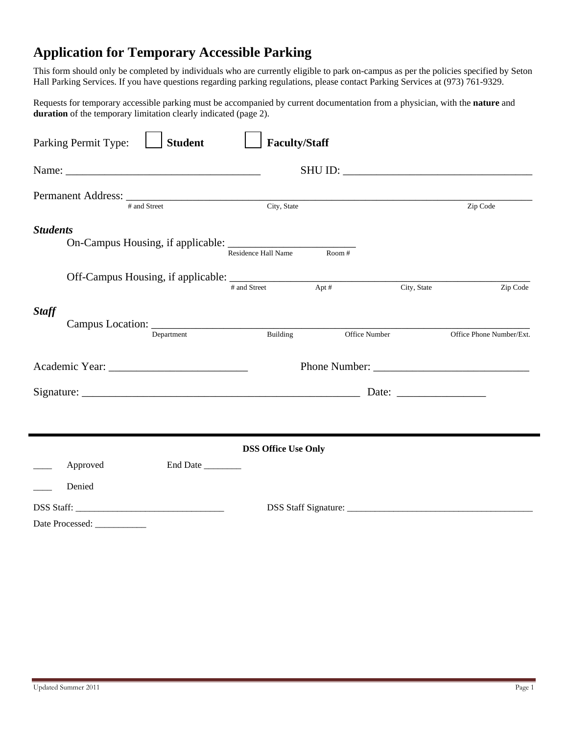## **Application for Temporary Accessible Parking**

This form should only be completed by individuals who are currently eligible to park on-campus as per the policies specified by Seton Hall Parking Services. If you have questions regarding parking regulations, please contact Parking Services at (973) 761-9329.

Requests for temporary accessible parking must be accompanied by current documentation from a physician, with the **nature** and **duration** of the temporary limitation clearly indicated (page 2).

| <b>Student</b><br>Parking Permit Type:                                                                         | <b>Faculty/Staff</b>       |               |             |                          |
|----------------------------------------------------------------------------------------------------------------|----------------------------|---------------|-------------|--------------------------|
|                                                                                                                |                            |               |             |                          |
| # and Street                                                                                                   | City, State                |               |             | Zip Code                 |
| <b>Students</b>                                                                                                | <b>Residence Hall Name</b> | Room #        |             |                          |
|                                                                                                                | # and Street               | $Apt \#$      | City, State | Zip Code                 |
| <b>Staff</b><br>Department                                                                                     | Building                   | Office Number |             | Office Phone Number/Ext. |
| Academic Year: Next Control of the Material School and Theorem and Theorem and Theorem and Theorem and Theorem |                            |               |             |                          |
|                                                                                                                |                            |               |             |                          |
|                                                                                                                |                            |               |             |                          |
| <b>DSS Office Use Only</b>                                                                                     |                            |               |             |                          |
| Approved<br>End Date<br>Denied                                                                                 |                            |               |             |                          |
| Date Processed: ____________                                                                                   |                            |               |             |                          |